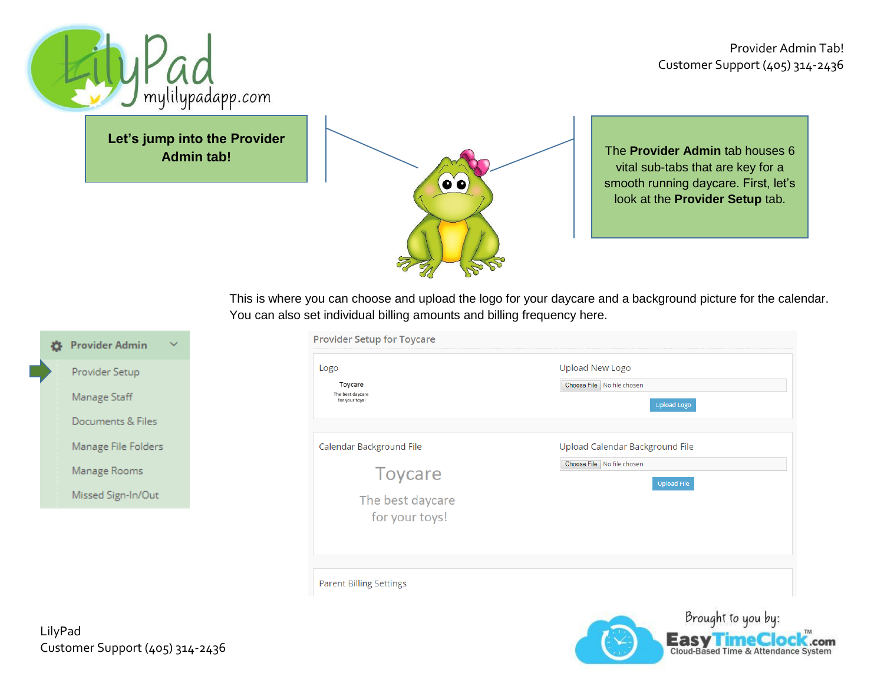

**Easy TimeClock**.com

.com



**Let's jump into the Provider Admin tab!**



The **Provider Admin** tab houses 6 vital sub-tabs that are key for a smooth running daycare. First, let's look at the **Provider Setup** tab.

This is where you can choose and upload the logo for your daycare and a background picture for the calendar. You can also set individual billing amounts and billing frequency here.

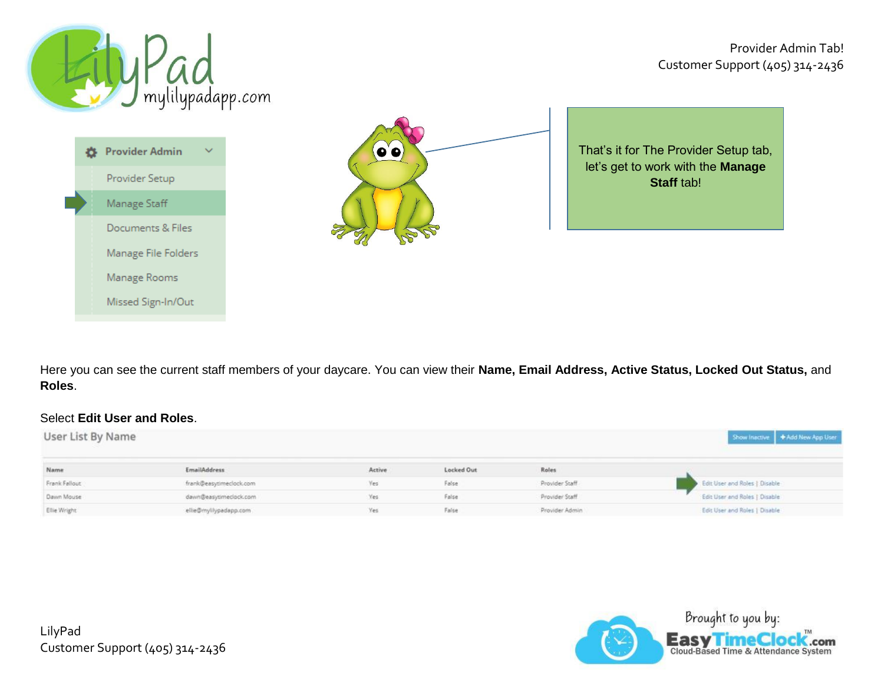mylilypadapp.com **Provider Admin** 春  $\checkmark$ Provider Setup Manage Staff Documents & Files Manage File Folders Manage Rooms Missed Sign-In/Out



That's it for The Provider Setup tab, let's get to work with the **Manage Staff** tab!

Here you can see the current staff members of your daycare. You can view their **Name, Email Address, Active Status, Locked Out Status,** and **Roles**.

## Select **Edit User and Roles**.

| User List By Name |                         |        |            |                | Show Inactive   + Add New App User |
|-------------------|-------------------------|--------|------------|----------------|------------------------------------|
| Name              | <b>EmailAddress</b>     | Active | Locked Out | Roles          |                                    |
| Frank Fallout     | frank@easytimeclock.com | Yes    | False      | Provider Staff | Edit User and Roles   Disable      |
| Dawn Mouse        | dawn@easytimeclock.com  | Yes.   | False      | Provider Staff | Edit User and Roles   Disable      |
| Ellie Wright      | ellie@mylilypadapp.com  | Yes    | False      | Provider Admin | Edit User and Roles   Disable      |

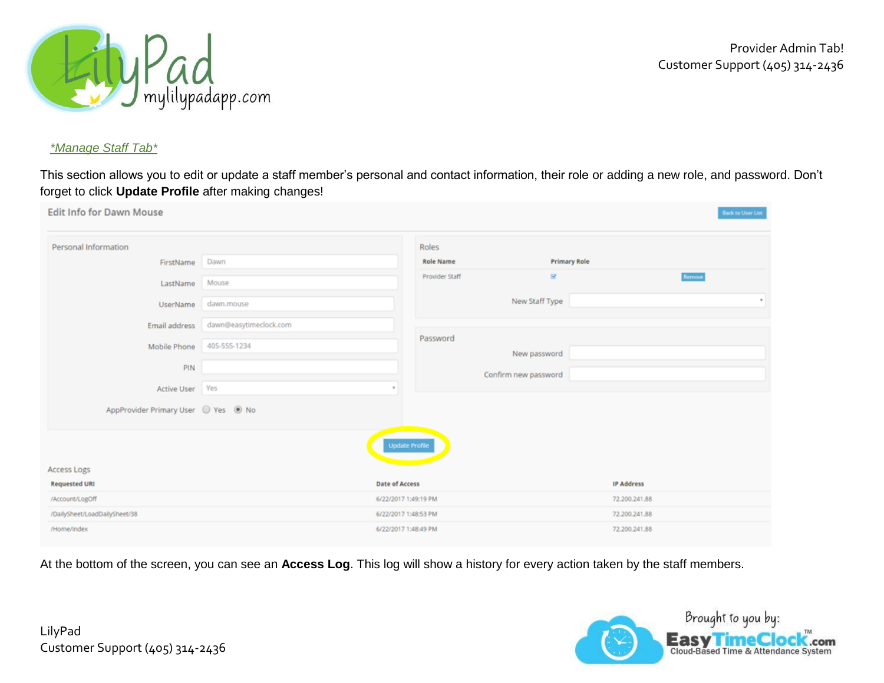

### *\*Manage Staff Tab\**

This section allows you to edit or update a staff member's personal and contact information, their role or adding a new role, and password. Don't forget to click **Update Profile** after making changes!

| <b>Edit Info for Dawn Mouse</b>                  |                        |                                               |                      |                                    | <b>Back to User List</b> |
|--------------------------------------------------|------------------------|-----------------------------------------------|----------------------|------------------------------------|--------------------------|
| Personal Information                             |                        | Roles                                         |                      |                                    |                          |
| FirstName                                        | Dawn                   | <b>Role Name</b>                              | <b>Primary Role</b>  |                                    |                          |
| LastName                                         | Mouse                  | Provider Staff                                | $\boxtimes$          | Remove                             |                          |
| <b>UserName</b>                                  | dawn.mouse             |                                               | New Staff Type       |                                    | $\pi$                    |
| Email address                                    | dawn@easytimeclock.com |                                               |                      |                                    |                          |
| Mobile Phone                                     | 405-555-1234           | Password                                      | New password         |                                    |                          |
| PIN                                              |                        |                                               | Confirm new password |                                    |                          |
| Active User Yes                                  |                        | $\mathbf{v}$                                  |                      |                                    |                          |
| AppProvider Primary User Ves + No                |                        |                                               |                      |                                    |                          |
|                                                  |                        | <b>Update Profile</b>                         |                      |                                    |                          |
| Access Logs                                      |                        |                                               |                      |                                    |                          |
| <b>Requested URI</b>                             |                        | <b>Date of Access</b><br>6/22/2017 1:49:19 PM |                      | <b>IP Address</b><br>72.200.241.88 |                          |
| /Account/LogOff<br>/DailySheet/LoadDailySheet/38 |                        | 6/22/2017 1:48:53 PM                          |                      | 72.200.241.88                      |                          |
| /Home/Index                                      |                        | 6/22/2017 1:48:49 PM                          |                      | 72.200.241.88                      |                          |
|                                                  |                        |                                               |                      |                                    |                          |

At the bottom of the screen, you can see an **Access Log**. This log will show a history for every action taken by the staff members.

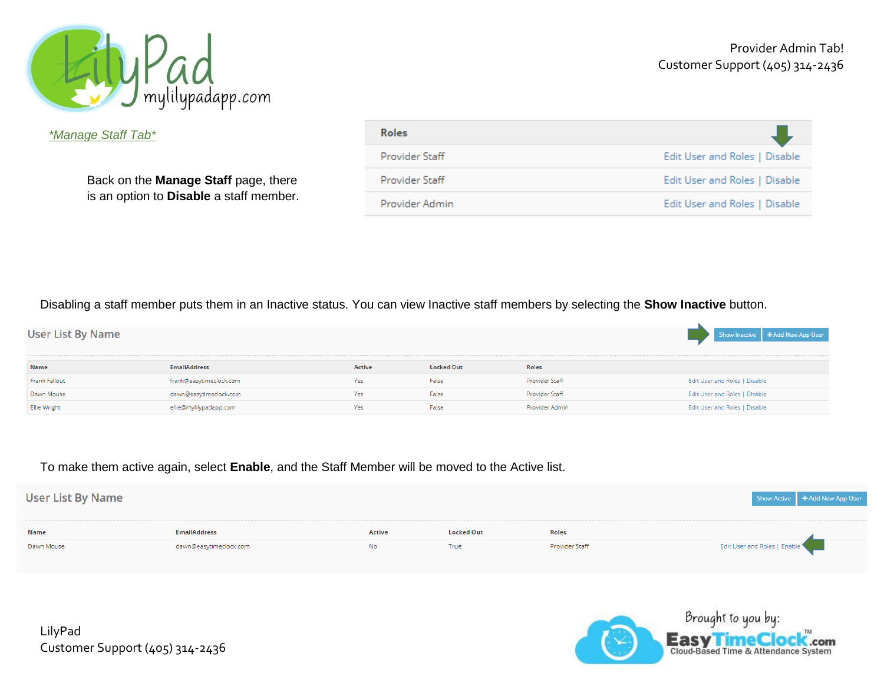

Provider Admin Tab! Customer Support (405) 314-2436

*\*Manage Staff Tab\**

Back on the **Manage Staff** page, there is an option to **Disable** a staff member.

| <b>Roles</b>   |                               |
|----------------|-------------------------------|
| Provider Staff | Edit User and Roles   Disable |
| Provider Staff | Edit User and Roles   Disable |
| Provider Admin | Edit User and Roles   Disable |

Disabling a staff member puts them in an Inactive status. You can view Inactive staff members by selecting the **Show Inactive** button.

| <b>User List By Name</b> |                         |               |                   |                | Show Inactive   + Add New App User |
|--------------------------|-------------------------|---------------|-------------------|----------------|------------------------------------|
| Name                     | <b>EmailAddress</b>     | <b>Active</b> | <b>Locked Out</b> | Roles          |                                    |
| Frank Fallout            | frank@easytimeclock.com | Yes           | False             | Provider Staff | Edit User and Roles   Disable      |
| Dawn Mouse               | dawn@easytimeclock.com  | Yes           | False             | Provider Staff | Edit User and Roles   Disable      |
| Ellie Wright             | ellie@mylilypadapp.com  | Yes           | False             | Provider Admin | Edit User and Roles   Disable      |

### To make them active again, select **Enable**, and the Staff Member will be moved to the Active list.

| User List By Name |                        |               |                   |                | Show Active   + Add New App User |
|-------------------|------------------------|---------------|-------------------|----------------|----------------------------------|
|                   |                        |               |                   |                |                                  |
| Name              | <b>EmailAddress</b>    | <b>Active</b> | <b>Locked Out</b> | <b>Roles</b>   |                                  |
| Dawn Mouse        | dawn@easytimeclock.com | No.           | True              | Provider Staff | Edit User and Roles   Enable     |



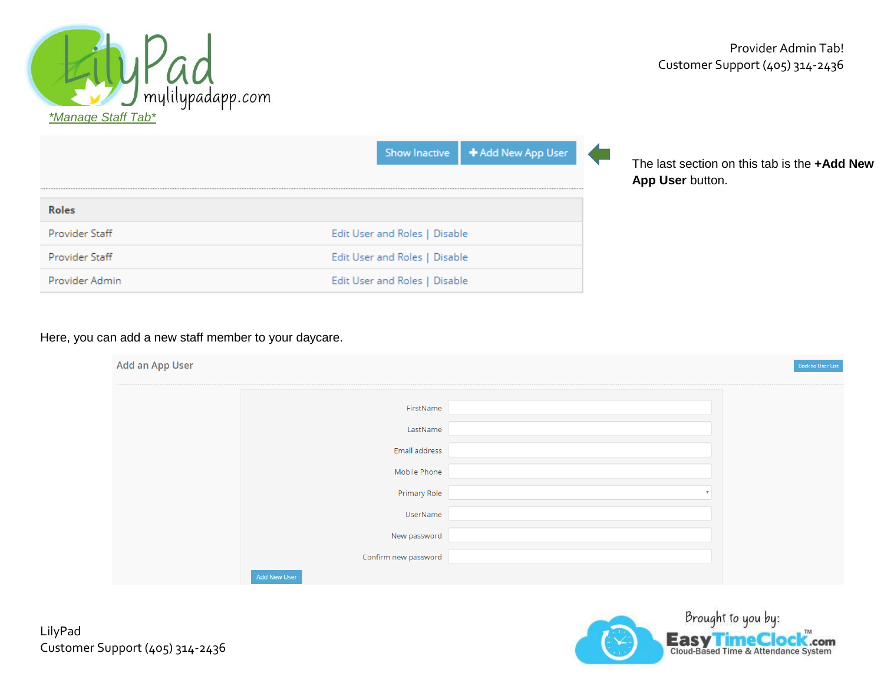

|                | Show Inactive   + Add New App User |
|----------------|------------------------------------|
| <b>Roles</b>   |                                    |
| Provider Staff | Edit User and Roles   Disable      |
| Provider Staff | Edit User and Roles   Disable      |
| Provider Admin | Edit User and Roles   Disable      |

The last section on this tab is the **+Add New App User** button.

## Here, you can add a new staff member to your daycare.

| Add an App User |                      | Back to User List |
|-----------------|----------------------|-------------------|
|                 |                      |                   |
|                 | FirstName            |                   |
|                 | LastName             |                   |
|                 | Email address        |                   |
|                 | Mobile Phone         |                   |
|                 | Primary Role         |                   |
|                 | UserName             |                   |
|                 | New password         |                   |
|                 | Confirm new password |                   |
|                 | Add New User         |                   |

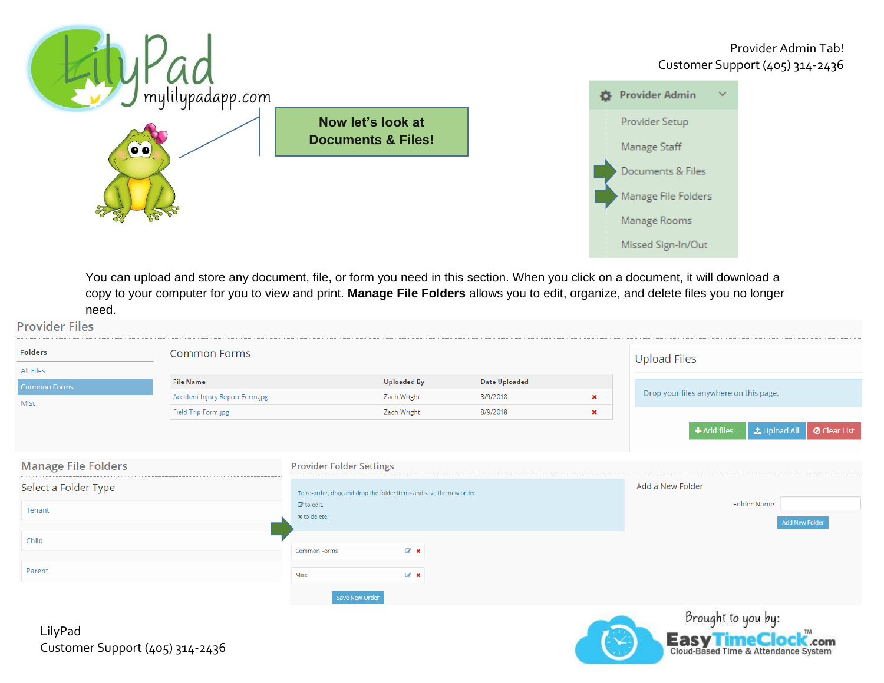

You can upload and store any document, file, or form you need in this section. When you click on a document, it will download a copy to your computer for you to view and print. **Manage File Folders** allows you to edit, organize, and delete files you no longer need.

| <b>Provider Files</b>                      |                                 |                                 |                                                                     |                      |                     |                                                   |
|--------------------------------------------|---------------------------------|---------------------------------|---------------------------------------------------------------------|----------------------|---------------------|---------------------------------------------------|
| <b>Folders</b>                             | <b>Common Forms</b>             |                                 |                                                                     |                      | <b>Upload Files</b> |                                                   |
| All Files                                  |                                 |                                 |                                                                     |                      |                     |                                                   |
| Common Forms                               | <b>File Name</b>                |                                 | <b>Uploaded By</b>                                                  | <b>Date Uploaded</b> |                     | Drop your files anywhere on this page.            |
| Misc                                       | Accident Injury Report Form.jpg |                                 | Zach Wright                                                         | 8/9/2018             | $\pmb{\times}$      |                                                   |
|                                            | Field Trip Form.jpg             |                                 | Zach Wright                                                         | 8/9/2018             | $\pmb{\times}$      |                                                   |
|                                            |                                 |                                 |                                                                     |                      |                     | L Upload All<br>O Clear List<br>+ Add files       |
| <b>Manage File Folders</b>                 |                                 | <b>Provider Folder Settings</b> |                                                                     |                      |                     |                                                   |
| Select a Folder Type                       |                                 |                                 | To re-order, drag and drop the folder items and save the new order. |                      |                     | Add a New Folder                                  |
| Tenant                                     |                                 | to edit.                        |                                                                     |                      |                     | <b>Folder Name</b>                                |
|                                            |                                 | <b>x</b> to delete.             |                                                                     |                      |                     | <b>Add New Folder</b>                             |
| Child                                      |                                 |                                 |                                                                     |                      |                     |                                                   |
|                                            |                                 | <b>Common Forms</b>             | $\mathbb{Z}$ x                                                      |                      |                     |                                                   |
| Parent                                     |                                 | Misc                            | $\mathbb{Z}$ x                                                      |                      |                     |                                                   |
|                                            |                                 | Save New Order                  |                                                                     |                      |                     |                                                   |
| LilyPad<br>Customer Support (405) 314-2436 |                                 |                                 |                                                                     |                      |                     | Brought to you by:<br><b>Easy Time Clock</b> .com |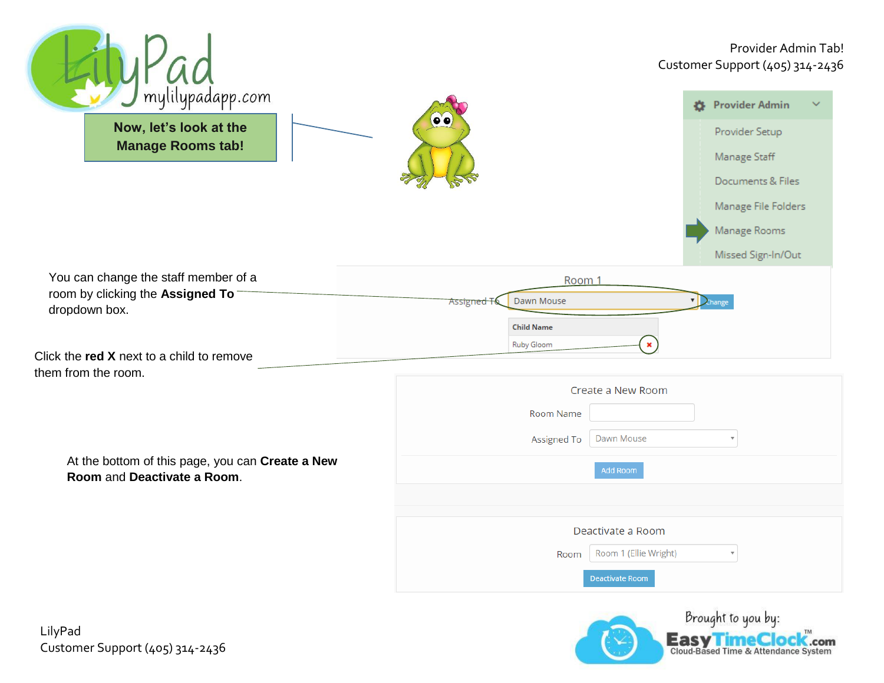